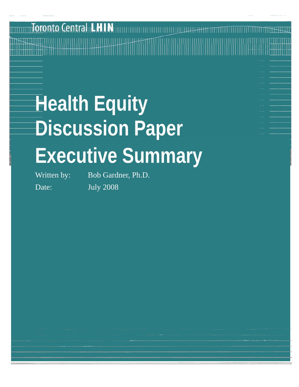## onto Central LHIN

# **Health Equity Discussion Paper Executive Summary**

Written by: Bob Gardner, Ph.D. Date: July 2008

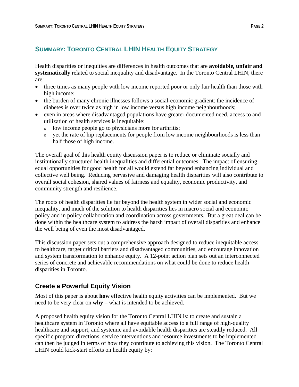#### **SUMMARY: TORONTO CENTRAL LHIN HEALTH EQUITY STRATEGY**

Health disparities or inequities are differences in health outcomes that are **avoidable, unfair and systematically** related to social inequality and disadvantage. In the Toronto Central LHIN, there are:

- three times as many people with low income reported poor or only fair health than those with high income;
- the burden of many chronic illnesses follows a social-economic gradient: the incidence of diabetes is over twice as high in low income versus high income neighbourhoods;
- even in areas where disadvantaged populations have greater documented need, access to and utilization of health services is inequitable:
	- <sup>o</sup> low income people go to physicians more for arthritis;
	- <sup>o</sup> yet the rate of hip replacements for people from low income neighbourhoods is less than half those of high income.

The overall goal of this health equity discussion paper is to reduce or eliminate socially and institutionally structured health inequalities and differential outcomes. The impact of ensuring equal opportunities for good health for all would extend far beyond enhancing individual and collective well being. Reducing pervasive and damaging health disparities will also contribute to overall social cohesion, shared values of fairness and equality, economic productivity, and community strength and resilience.

The roots of health disparities lie far beyond the health system in wider social and economic inequality, and much of the solution to health disparities lies in macro social and economic policy and in policy collaboration and coordination across governments. But a great deal can be done within the healthcare system to address the harsh impact of overall disparities and enhance the well being of even the most disadvantaged.

This discussion paper sets out a comprehensive approach designed to reduce inequitable access to healthcare, target critical barriers and disadvantaged communities, and encourage innovation and system transformation to enhance equity. A 12-point action plan sets out an interconnected series of concrete and achievable recommendations on what could be done to reduce health disparities in Toronto.

#### **Create a Powerful Equity Vision**

Most of this paper is about **how** effective health equity activities can be implemented. But we need to be very clear on **why** – what is intended to be achieved.

A proposed health equity vision for the Toronto Central LHIN is: to create and sustain a healthcare system in Toronto where all have equitable access to a full range of high-quality healthcare and support, and systemic and avoidable health disparities are steadily reduced. All specific program directions, service interventions and resource investments to be implemented can then be judged in terms of how they contribute to achieving this vision. The Toronto Central LHIN could kick-start efforts on health equity by: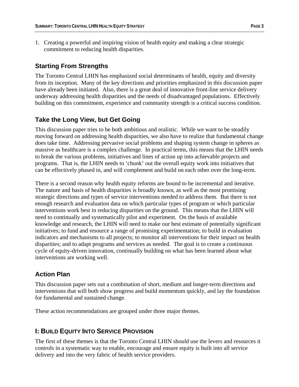1. Creating a powerful and inspiring vision of health equity and making a clear strategic commitment to reducing health disparities.

#### **Starting From Strengths**

The Toronto Central LHIN has emphasized social determinants of health, equity and diversity from its inception. Many of the key directions and priorities emphasized in this discussion paper have already been initiated. Also, there is a great deal of innovative front-line service delivery underway addressing health disparities and the needs of disadvantaged populations. Effectively building on this commitment, experience and community strength is a critical success condition.

#### **Take the Long View, but Get Going**

This discussion paper tries to be both ambitious and realistic. While we want to be steadily moving forward on addressing health disparities, we also have to realize that fundamental change does take time. Addressing pervasive social problems and shaping system change in spheres as massive as healthcare is a complex challenge. In practical terms, this means that the LHIN needs to break the various problems, initiatives and lines of action up into achievable projects and programs. That is, the LHIN needs to 'chunk' out the overall equity work into initiatives that can be effectively phased in, and will complement and build on each other over the long-term.

There is a second reason why health equity reforms are bound to be incremental and iterative. The nature and basis of health disparities is broadly known, as well as the most promising strategic directions and types of service interventions needed to address them. But there is not enough research and evaluation data on which particular types of program or which particular interventions work best in reducing disparities on the ground. This means that the LHIN will need to continually and systematically pilot and experiment. On the basis of available knowledge and research, the LHIN will need to make our best estimate of potentially significant initiatives; to fund and resource a range of promising experimentation; to build in evaluation indicators and mechanisms to all projects; to monitor all interventions for their impact on health disparities; and to adapt programs and services as needed. The goal is to create a continuous cycle of equity-driven innovation, continually building on what has been learned about what interventions are working well.

#### **Action Plan**

This discussion paper sets out a combination of short, medium and longer-term directions and interventions that will both show progress and build momentum quickly, and lay the foundation for fundamental and sustained change.

These action recommendations are grouped under three major themes.

### **I: BUILD EQUITY INTO SERVICE PROVISION**

The first of these themes is that the Toronto Central LHIN should use the levers and resources it controls in a systematic way to enable, encourage and ensure equity is built into all service delivery and into the very fabric of health service providers.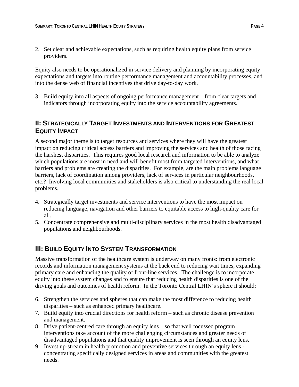2. Set clear and achievable expectations, such as requiring health equity plans from service providers.

Equity also needs to be operationalized in service delivery and planning by incorporating equity expectations and targets into routine performance management and accountability processes, and into the dense web of financial incentives that drive day-to-day work.

3. Build equity into all aspects of ongoing performance management – from clear targets and indicators through incorporating equity into the service accountability agreements.

#### **II: STRATEGICALLY TARGET INVESTMENTS AND INTERVENTIONS FOR GREATEST EQUITY IMPACT**

A second major theme is to target resources and services where they will have the greatest impact on reducing critical access barriers and improving the services and health of those facing the harshest disparities. This requires good local research and information to be able to analyze which populations are most in need and will benefit most from targeted interventions, and what barriers and problems are creating the disparities. For example, are the main problems language barriers, lack of coordination among providers, lack of services in particular neighbourhoods, etc.? Involving local communities and stakeholders is also critical to understanding the real local problems.

- 4. Strategically target investments and service interventions to have the most impact on reducing language, navigation and other barriers to equitable access to high-quality care for all.
- 5. Concentrate comprehensive and multi-disciplinary services in the most health disadvantaged populations and neighbourhoods.

#### **III: BUILD EQUITY INTO SYSTEM TRANSFORMATION**

Massive transformation of the healthcare system is underway on many fronts: from electronic records and information management systems at the back end to reducing wait times, expanding primary care and enhancing the quality of front-line services. The challenge is to incorporate equity into these system changes and to ensure that reducing health disparities is one of the driving goals and outcomes of health reform. In the Toronto Central LHIN's sphere it should:

- 6. Strengthen the services and spheres that can make the most difference to reducing health disparities – such as enhanced primary healthcare.
- 7. Build equity into crucial directions for health reform such as chronic disease prevention and management.
- 8. Drive patient-centred care through an equity lens so that well focussed program interventions take account of the more challenging circumstances and greater needs of disadvantaged populations and that quality improvement is seen through an equity lens.
- 9. Invest up-stream in health promotion and preventive services through an equity lens concentrating specifically designed services in areas and communities with the greatest needs.